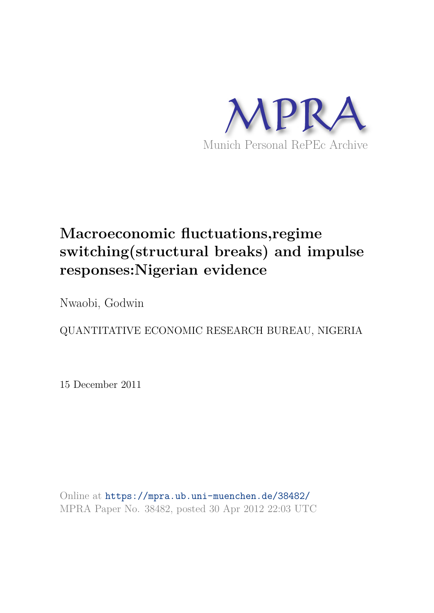

# **Macroeconomic fluctuations,regime switching(structural breaks) and impulse responses:Nigerian evidence**

Nwaobi, Godwin

QUANTITATIVE ECONOMIC RESEARCH BUREAU, NIGERIA

15 December 2011

Online at https://mpra.ub.uni-muenchen.de/38482/ MPRA Paper No. 38482, posted 30 Apr 2012 22:03 UTC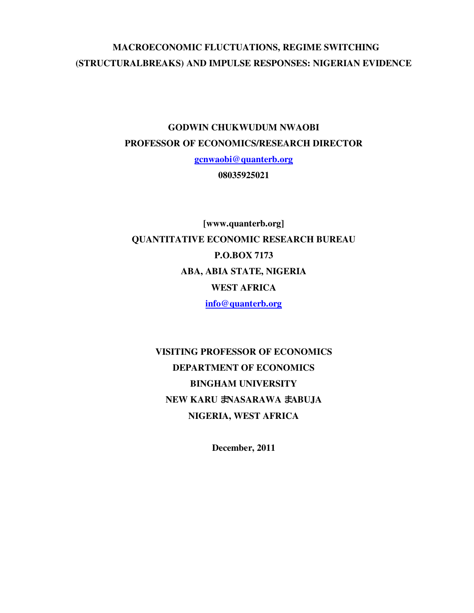## **MACROECONOMIC FLUCTUATIONS, REGIME SWITCHING (STRUCTURALBREAKS) AND IMPULSE RESPONSES: NIGERIAN EVIDENCE**

## **GODWIN CHUKWUDUM NWAOBI PROFESSOR OF ECONOMICS/RESEARCH DIRECTOR**

**gcnwaobi@quanterb.org**

**08035925021** 

**[www.quanterb.org] QUANTITATIVE ECONOMIC RESEARCH BUREAU P.O.BOX 7173 ABA, ABIA STATE, NIGERIA WEST AFRICA info@quanterb.org**

> **VISITING PROFESSOR OF ECONOMICS DEPARTMENT OF ECONOMICS BINGHAM UNIVERSITY NEW KARU** – **NASARAWA** – **ABUJA NIGERIA, WEST AFRICA**

> > **December, 2011**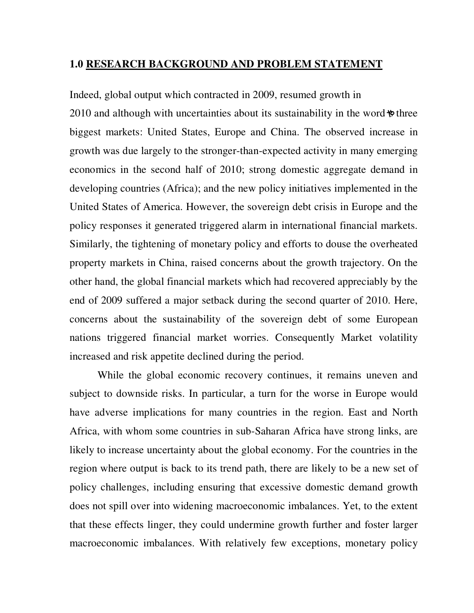### **1.0 RESEARCH BACKGROUND AND PROBLEM STATEMENT**

Indeed, global output which contracted in 2009, resumed growth in 2010 and although with uncertainties about its sustainability in the word  $\phi$  three biggest markets: United States, Europe and China. The observed increase in growth was due largely to the stronger-than-expected activity in many emerging economics in the second half of 2010; strong domestic aggregate demand in developing countries (Africa); and the new policy initiatives implemented in the United States of America. However, the sovereign debt crisis in Europe and the policy responses it generated triggered alarm in international financial markets. Similarly, the tightening of monetary policy and efforts to douse the overheated property markets in China, raised concerns about the growth trajectory. On the other hand, the global financial markets which had recovered appreciably by the end of 2009 suffered a major setback during the second quarter of 2010. Here, concerns about the sustainability of the sovereign debt of some European nations triggered financial market worries. Consequently Market volatility increased and risk appetite declined during the period.

 While the global economic recovery continues, it remains uneven and subject to downside risks. In particular, a turn for the worse in Europe would have adverse implications for many countries in the region. East and North Africa, with whom some countries in sub-Saharan Africa have strong links, are likely to increase uncertainty about the global economy. For the countries in the region where output is back to its trend path, there are likely to be a new set of policy challenges, including ensuring that excessive domestic demand growth does not spill over into widening macroeconomic imbalances. Yet, to the extent that these effects linger, they could undermine growth further and foster larger macroeconomic imbalances. With relatively few exceptions, monetary policy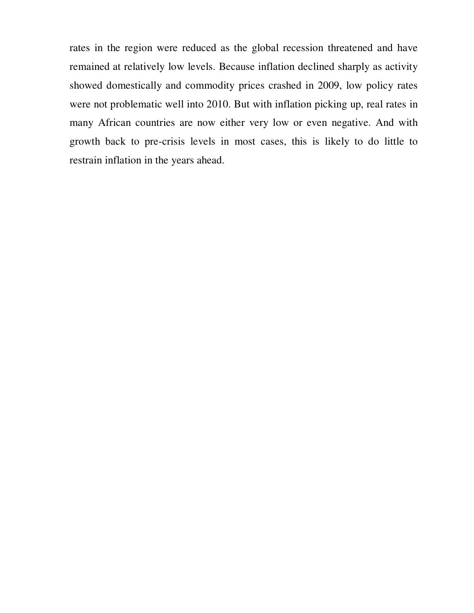rates in the region were reduced as the global recession threatened and have remained at relatively low levels. Because inflation declined sharply as activity showed domestically and commodity prices crashed in 2009, low policy rates were not problematic well into 2010. But with inflation picking up, real rates in many African countries are now either very low or even negative. And with growth back to pre-crisis levels in most cases, this is likely to do little to restrain inflation in the years ahead.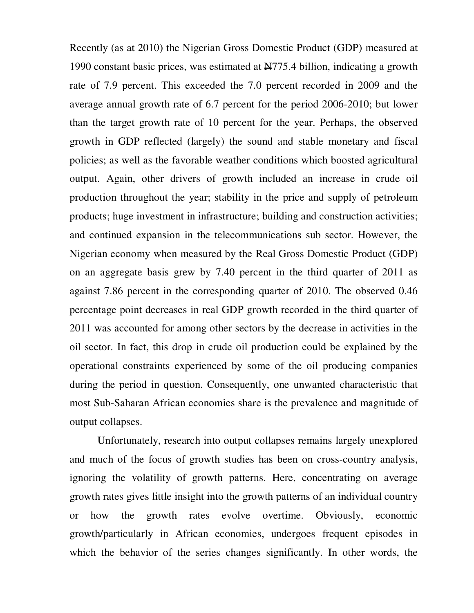Recently (as at 2010) the Nigerian Gross Domestic Product (GDP) measured at 1990 constant basic prices, was estimated at  $\frac{N}{775.4}$  billion, indicating a growth rate of 7.9 percent. This exceeded the 7.0 percent recorded in 2009 and the average annual growth rate of 6.7 percent for the period 2006-2010; but lower than the target growth rate of 10 percent for the year. Perhaps, the observed growth in GDP reflected (largely) the sound and stable monetary and fiscal policies; as well as the favorable weather conditions which boosted agricultural output. Again, other drivers of growth included an increase in crude oil production throughout the year; stability in the price and supply of petroleum products; huge investment in infrastructure; building and construction activities; and continued expansion in the telecommunications sub sector. However, the Nigerian economy when measured by the Real Gross Domestic Product (GDP) on an aggregate basis grew by 7.40 percent in the third quarter of 2011 as against 7.86 percent in the corresponding quarter of 2010. The observed 0.46 percentage point decreases in real GDP growth recorded in the third quarter of 2011 was accounted for among other sectors by the decrease in activities in the oil sector. In fact, this drop in crude oil production could be explained by the operational constraints experienced by some of the oil producing companies during the period in question. Consequently, one unwanted characteristic that most Sub-Saharan African economies share is the prevalence and magnitude of output collapses.

 Unfortunately, research into output collapses remains largely unexplored and much of the focus of growth studies has been on cross-country analysis, ignoring the volatility of growth patterns. Here, concentrating on average growth rates gives little insight into the growth patterns of an individual country or how the growth rates evolve overtime. Obviously, economic growth/particularly in African economies, undergoes frequent episodes in which the behavior of the series changes significantly. In other words, the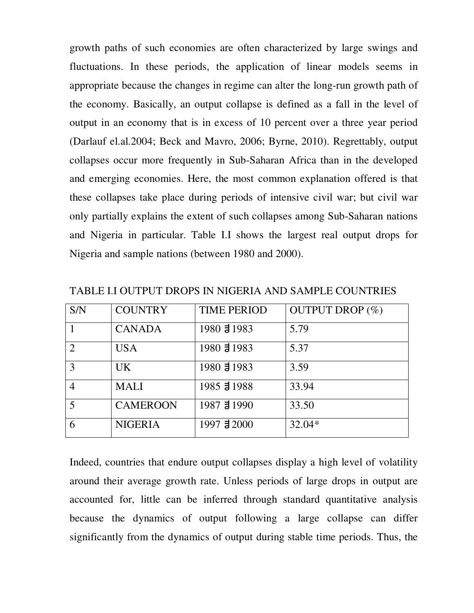growth paths of such economies are often characterized by large swings and fluctuations. In these periods, the application of linear models seems in appropriate because the changes in regime can alter the long-run growth path of the economy. Basically, an output collapse is defined as a fall in the level of output in an economy that is in excess of 10 percent over a three year period (Darlauf el.al.2004; Beck and Mavro, 2006; Byrne, 2010). Regrettably, output collapses occur more frequently in Sub-Saharan Africa than in the developed and emerging economies. Here, the most common explanation offered is that these collapses take place during periods of intensive civil war; but civil war only partially explains the extent of such collapses among Sub-Saharan nations and Nigeria in particular. Table I.I shows the largest real output drops for Nigeria and sample nations (between 1980 and 2000).

| S/N            | <b>COUNTRY</b>  | <b>TIME PERIOD</b> | <b>OUTPUT DROP</b> (%) |
|----------------|-----------------|--------------------|------------------------|
|                | <b>CANADA</b>   | 1980 31983         | 5.79                   |
| 2              | <b>USA</b>      | 1980 3 1983        | 5.37                   |
| 3              | <b>UK</b>       | 1980 3 1983        | 3.59                   |
| $\overline{4}$ | <b>MALI</b>     | 1985 31988         | 33.94                  |
| 5              | <b>CAMEROON</b> | 1987 31990         | 33.50                  |
| 6              | <b>NIGERIA</b>  | 1997 3 2000        | $32.04*$               |

TABLE I.I OUTPUT DROPS IN NIGERIA AND SAMPLE COUNTRIES

Indeed, countries that endure output collapses display a high level of volatility around their average growth rate. Unless periods of large drops in output are accounted for, little can be inferred through standard quantitative analysis because the dynamics of output following a large collapse can differ significantly from the dynamics of output during stable time periods. Thus, the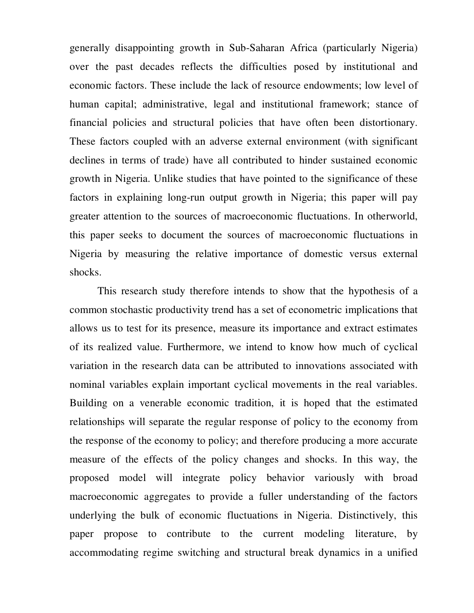generally disappointing growth in Sub-Saharan Africa (particularly Nigeria) over the past decades reflects the difficulties posed by institutional and economic factors. These include the lack of resource endowments; low level of human capital; administrative, legal and institutional framework; stance of financial policies and structural policies that have often been distortionary. These factors coupled with an adverse external environment (with significant declines in terms of trade) have all contributed to hinder sustained economic growth in Nigeria. Unlike studies that have pointed to the significance of these factors in explaining long-run output growth in Nigeria; this paper will pay greater attention to the sources of macroeconomic fluctuations. In otherworld, this paper seeks to document the sources of macroeconomic fluctuations in Nigeria by measuring the relative importance of domestic versus external shocks.

 This research study therefore intends to show that the hypothesis of a common stochastic productivity trend has a set of econometric implications that allows us to test for its presence, measure its importance and extract estimates of its realized value. Furthermore, we intend to know how much of cyclical variation in the research data can be attributed to innovations associated with nominal variables explain important cyclical movements in the real variables. Building on a venerable economic tradition, it is hoped that the estimated relationships will separate the regular response of policy to the economy from the response of the economy to policy; and therefore producing a more accurate measure of the effects of the policy changes and shocks. In this way, the proposed model will integrate policy behavior variously with broad macroeconomic aggregates to provide a fuller understanding of the factors underlying the bulk of economic fluctuations in Nigeria. Distinctively, this paper propose to contribute to the current modeling literature, by accommodating regime switching and structural break dynamics in a unified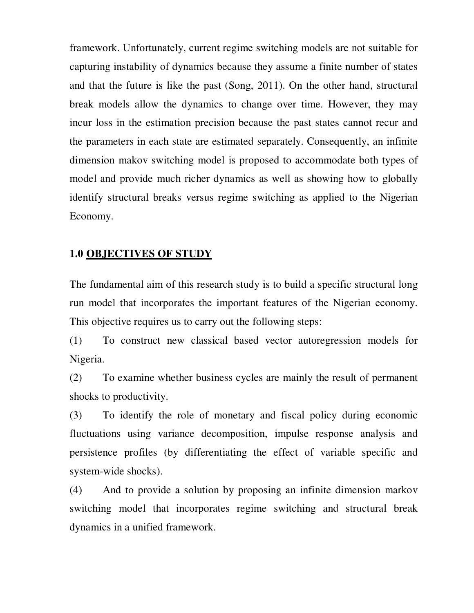framework. Unfortunately, current regime switching models are not suitable for capturing instability of dynamics because they assume a finite number of states and that the future is like the past (Song, 2011). On the other hand, structural break models allow the dynamics to change over time. However, they may incur loss in the estimation precision because the past states cannot recur and the parameters in each state are estimated separately. Consequently, an infinite dimension makov switching model is proposed to accommodate both types of model and provide much richer dynamics as well as showing how to globally identify structural breaks versus regime switching as applied to the Nigerian Economy.

### **1.0 OBJECTIVES OF STUDY**

The fundamental aim of this research study is to build a specific structural long run model that incorporates the important features of the Nigerian economy. This objective requires us to carry out the following steps:

(1) To construct new classical based vector autoregression models for Nigeria.

(2) To examine whether business cycles are mainly the result of permanent shocks to productivity.

(3) To identify the role of monetary and fiscal policy during economic fluctuations using variance decomposition, impulse response analysis and persistence profiles (by differentiating the effect of variable specific and system-wide shocks).

(4) And to provide a solution by proposing an infinite dimension markov switching model that incorporates regime switching and structural break dynamics in a unified framework.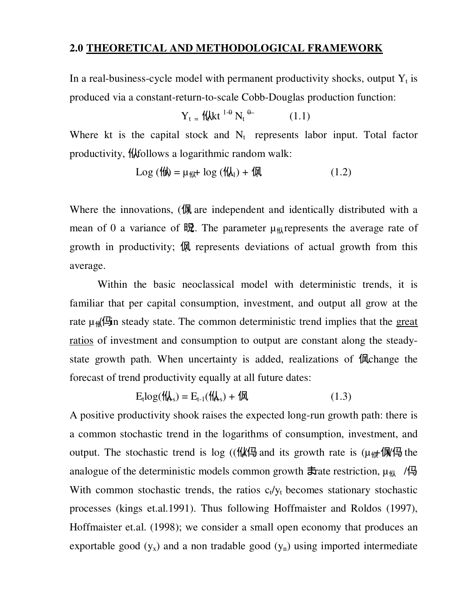### **2.0 THEORETICAL AND METHODOLOGICAL FRAMEWORK**

In a real-business-cycle model with permanent productivity shocks, output  $Y_t$  is produced via a constant-return-to-scale Cobb-Douglas production function:

$$
Y_t = \text{H/kt}^{1-\theta} N_t^{\theta-} \qquad (1.1)
$$

Where kt is the capital stock and  $N_t$  represents labor input. Total factor productivity, *H*tollows a logarithmic random walk:

$$
Log (11) = \mu_{11} + log (11) + 11 \tag{1.2}
$$

Where the innovations, (**M**) are independent and identically distributed with a mean of 0 a variance of  $\mathbb{R}$ . The parameter  $\mu_{\mathcal{H}}$  represents the average rate of growth in productivity;  $\mathbb{R}$  represents deviations of actual growth from this average.

 Within the basic neoclassical model with deterministic trends, it is familiar that per capital consumption, investment, and output all grow at the rate  $\mu$ <sub>*M*</sub>( $\Xi$ in steady state. The common deterministic trend implies that the great ratios of investment and consumption to output are constant along the steadystate growth path. When uncertainty is added, realizations of  $\mathbb{R}$ change the forecast of trend productivity equally at all future dates:

$$
E_t \log(\mathcal{H}_{\mathbf{A}_s}) = E_{t-1}(\mathcal{H}_{\mathbf{A}_s}) + \mathcal{H} \tag{1.3}
$$

A positive productivity shook raises the expected long-run growth path: there is a common stochastic trend in the logarithms of consumption, investment, and output. The stochastic trend is log (( $\frac{1}{k}$ ( $\frac{1}{k}$ ) and its growth rate is ( $\mu$ <sub>th</sub>+ $\frac{1}{k}$ ) the analogue of the deterministic models common growth  $\pm$  rate restriction,  $\mu_{\mu}$  / $\pm$ With common stochastic trends, the ratios  $c_t/v_t$  becomes stationary stochastic processes (kings et.al.1991). Thus following Hoffmaister and Roldos (1997), Hoffmaister et.al. (1998); we consider a small open economy that produces an exportable good  $(y_x)$  and a non tradable good  $(y_n)$  using imported intermediate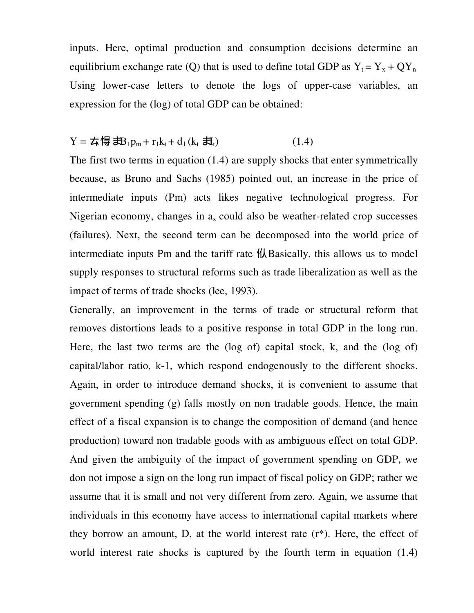inputs. Here, optimal production and consumption decisions determine an equilibrium exchange rate (Q) that is used to define total GDP as  $Y_t = Y_x + QY_n$ Using lower-case letters to denote the logs of upper-case variables, an expression for the (log) of total GDP can be obtained:

## $Y = \frac{1}{2} \left( \frac{1}{2} \frac{1}{2} \mathbf{B}_1 \mathbf{D}_2 + \mathbf{r}_1 \mathbf{k}_1 + \mathbf{d}_1 \left( \mathbf{k}_1 \frac{1}{2} \mathbf{I}_1 \right) \right)$  (1.4)

The first two terms in equation (1.4) are supply shocks that enter symmetrically because, as Bruno and Sachs (1985) pointed out, an increase in the price of intermediate inputs (Pm) acts likes negative technological progress. For Nigerian economy, changes in  $a_x$  could also be weather-related crop successes (failures). Next, the second term can be decomposed into the world price of intermediate inputs Pm and the tariff rate  $\frac{1}{k}$  Basically, this allows us to model supply responses to structural reforms such as trade liberalization as well as the impact of terms of trade shocks (lee, 1993).

Generally, an improvement in the terms of trade or structural reform that removes distortions leads to a positive response in total GDP in the long run. Here, the last two terms are the (log of) capital stock, k, and the (log of) capital/labor ratio, k-1, which respond endogenously to the different shocks. Again, in order to introduce demand shocks, it is convenient to assume that government spending (g) falls mostly on non tradable goods. Hence, the main effect of a fiscal expansion is to change the composition of demand (and hence production) toward non tradable goods with as ambiguous effect on total GDP. And given the ambiguity of the impact of government spending on GDP, we don not impose a sign on the long run impact of fiscal policy on GDP; rather we assume that it is small and not very different from zero. Again, we assume that individuals in this economy have access to international capital markets where they borrow an amount, D, at the world interest rate (r\*). Here, the effect of world interest rate shocks is captured by the fourth term in equation (1.4)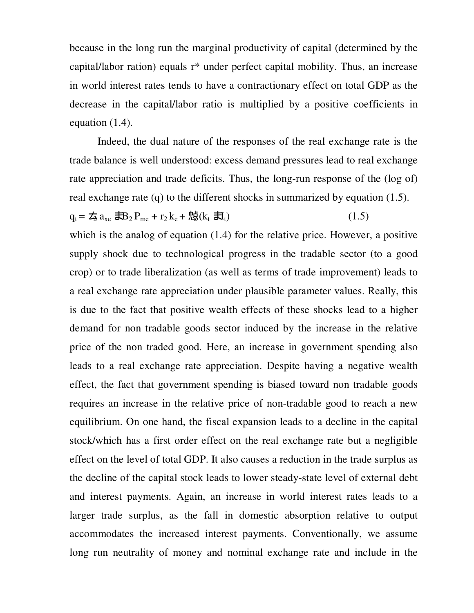because in the long run the marginal productivity of capital (determined by the capital/labor ration) equals  $r^*$  under perfect capital mobility. Thus, an increase in world interest rates tends to have a contractionary effect on total GDP as the decrease in the capital/labor ratio is multiplied by a positive coefficients in equation (1.4).

 Indeed, the dual nature of the responses of the real exchange rate is the trade balance is well understood: excess demand pressures lead to real exchange rate appreciation and trade deficits. Thus, the long-run response of the (log of) real exchange rate (q) to the different shocks in summarized by equation (1.5).

 $q_t = \frac{1}{2} a_{xe} \frac{1}{2} B_2 P_{me} + r_2 k_e + \frac{1}{2} (k_t \frac{1}{2} I_t)$  (1.5)

which is the analog of equation (1.4) for the relative price. However, a positive supply shock due to technological progress in the tradable sector (to a good crop) or to trade liberalization (as well as terms of trade improvement) leads to a real exchange rate appreciation under plausible parameter values. Really, this is due to the fact that positive wealth effects of these shocks lead to a higher demand for non tradable goods sector induced by the increase in the relative price of the non traded good. Here, an increase in government spending also leads to a real exchange rate appreciation. Despite having a negative wealth effect, the fact that government spending is biased toward non tradable goods requires an increase in the relative price of non-tradable good to reach a new equilibrium. On one hand, the fiscal expansion leads to a decline in the capital stock/which has a first order effect on the real exchange rate but a negligible effect on the level of total GDP. It also causes a reduction in the trade surplus as the decline of the capital stock leads to lower steady-state level of external debt and interest payments. Again, an increase in world interest rates leads to a larger trade surplus, as the fall in domestic absorption relative to output accommodates the increased interest payments. Conventionally, we assume long run neutrality of money and nominal exchange rate and include in the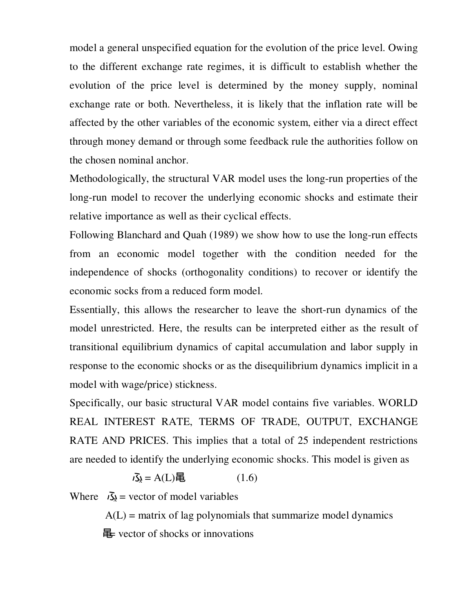model a general unspecified equation for the evolution of the price level. Owing to the different exchange rate regimes, it is difficult to establish whether the evolution of the price level is determined by the money supply, nominal exchange rate or both. Nevertheless, it is likely that the inflation rate will be affected by the other variables of the economic system, either via a direct effect through money demand or through some feedback rule the authorities follow on the chosen nominal anchor.

Methodologically, the structural VAR model uses the long-run properties of the long-run model to recover the underlying economic shocks and estimate their relative importance as well as their cyclical effects.

Following Blanchard and Quah (1989) we show how to use the long-run effects from an economic model together with the condition needed for the independence of shocks (orthogonality conditions) to recover or identify the economic socks from a reduced form model.

Essentially, this allows the researcher to leave the short-run dynamics of the model unrestricted. Here, the results can be interpreted either as the result of transitional equilibrium dynamics of capital accumulation and labor supply in response to the economic shocks or as the disequilibrium dynamics implicit in a model with wage/price) stickness.

Specifically, our basic structural VAR model contains five variables. WORLD REAL INTEREST RATE, TERMS OF TRADE, OUTPUT, EXCHANGE RATE AND PRICES. This implies that a total of 25 independent restrictions are needed to identify the underlying economic shocks. This model is given as

$$
\overline{\mathcal{S}}_{\lambda} = A(L)\overline{\mathbf{E}} \tag{1.6}
$$

Where  $\vec{\lambda}$  = vector of model variables

 $A(L)$  = matrix of lag polynomials that summarize model dynamics  $\mathbb{E}$  vector of shocks or innovations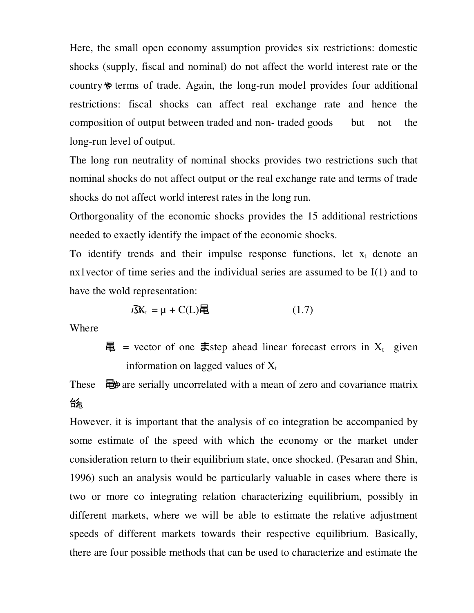Here, the small open economy assumption provides six restrictions: domestic shocks (supply, fiscal and nominal) do not affect the world interest rate or the country  $\phi$  terms of trade. Again, the long-run model provides four additional restrictions: fiscal shocks can affect real exchange rate and hence the composition of output between traded and non- traded goods but not the long-run level of output.

The long run neutrality of nominal shocks provides two restrictions such that nominal shocks do not affect output or the real exchange rate and terms of trade shocks do not affect world interest rates in the long run.

Orthorgonality of the economic shocks provides the 15 additional restrictions needed to exactly identify the impact of the economic shocks.

To identify trends and their impulse response functions, let  $x_t$  denote an nx1vector of time series and the individual series are assumed to be I(1) and to have the wold representation:

$$
i\mathbf{X}_t = \mu + C(L)\mathbf{E} \tag{1.7}
$$

Where

 $\mathbf{\Xi}$  = vector of one **ま**step ahead linear forecast errors in X<sub>t</sub> given information on lagged values of  $X_t$ 

These  $\equiv$   $\mathbf{\mathbb{E}}$  are serially uncorrelated with a mean of zero and covariance matrix 匘

However, it is important that the analysis of co integration be accompanied by some estimate of the speed with which the economy or the market under consideration return to their equilibrium state, once shocked. (Pesaran and Shin, 1996) such an analysis would be particularly valuable in cases where there is two or more co integrating relation characterizing equilibrium, possibly in different markets, where we will be able to estimate the relative adjustment speeds of different markets towards their respective equilibrium. Basically, there are four possible methods that can be used to characterize and estimate the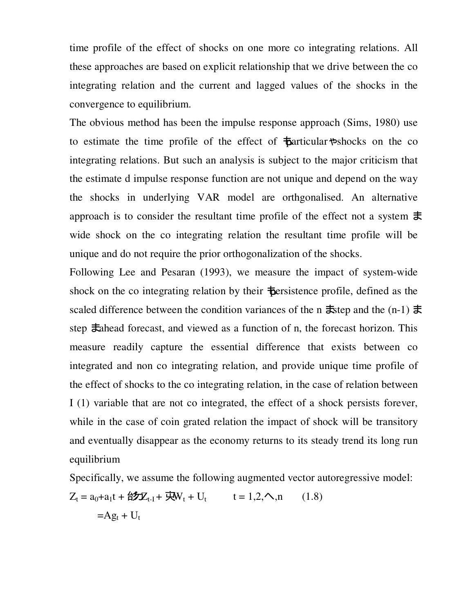time profile of the effect of shocks on one more co integrating relations. All these approaches are based on explicit relationship that we drive between the co integrating relation and the current and lagged values of the shocks in the convergence to equilibrium.

The obvious method has been the impulse response approach (Sims, 1980) use to estimate the time profile of the effect of  $\frac{1}{2}$  articular  $\frac{1}{2}$  shocks on the co integrating relations. But such an analysis is subject to the major criticism that the estimate d impulse response function are not unique and depend on the way the shocks in underlying VAR model are orthgonalised. An alternative approach is to consider the resultant time profile of the effect not a system  $\pm$ wide shock on the co integrating relation the resultant time profile will be unique and do not require the prior orthogonalization of the shocks.

Following Lee and Pesaran (1993), we measure the impact of system-wide shock on the co integrating relation by their  $\frac{1}{2}$  bersistence profile, defined as the scaled difference between the condition variances of the n  $\pm$ step and the (n-1)  $\pm$ step  $\pm$ ahead forecast, and viewed as a function of n, the forecast horizon. This measure readily capture the essential difference that exists between co integrated and non co integrating relation, and provide unique time profile of the effect of shocks to the co integrating relation, in the case of relation between I (1) variable that are not co integrated, the effect of a shock persists forever, while in the case of coin grated relation the impact of shock will be transitory and eventually disappear as the economy returns to its steady trend its long run equilibrium

Specifically, we assume the following augmented vector autoregressive model:  $Z_t = a_0 + a_1 t + \frac{A}{2} Z_{t-1} + \frac{C}{2} W_t + U_t$   $t = 1, 2, \sim, n$  (1.8)  $=Ag_t + U_t$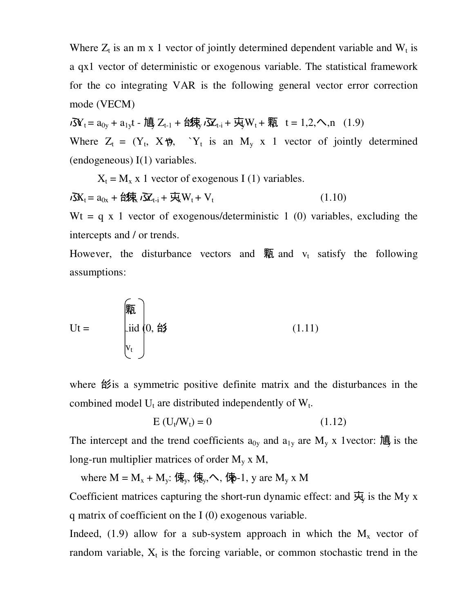Where  $Z_t$  is an m x 1 vector of jointly determined dependent variable and  $W_t$  is a qx1 vector of deterministic or exogenous variable. The statistical framework for the co integrating VAR is the following general vector error correction mode (VECM)

 $\overline{J_1} = a_{0y} + a_{1y}t - 1$  唐 Z<sub>t-1</sub> + 台, $\overline{J_1}$   $\overline{J_2}$ <sub>t-i</sub> +  $\overline{J_2}$  W<sub>t</sub> + 颗 t = 1,2,  $\Lambda$ , n (1.9) Where  $Z_t = (Y_t, X\mathcal{H}), Y_t$  is an  $M_y \times 1$  vector of jointly determined (endogeneous) I(1) variables.

 $X_t = M_x x$  1 vector of exogenous I (1) variables.  $\overrightarrow{J}X_t = a_{0x} + \hat{H}X_t \overrightarrow{J}X_{t-i} + \overrightarrow{H}W_t + V_t$ (1.10)

Wt = q x 1 vector of exogenous/deterministic 1 (0) variables, excluding the intercepts and / or trends.

However, the disturbance vectors and  $\overline{M}$  and  $v_t$  satisfy the following assumptions:

$$
Ut = \begin{bmatrix} \frac{\sqrt{2}}{2} \\ \frac{\sqrt{2}}{2} \\ v_t \end{bmatrix}
$$
 (1.11)

where  $\frac{4}{5}$  is a symmetric positive definite matrix and the disturbances in the combined model  $U_t$  are distributed independently of  $W_t$ .

$$
E(U_t/W_t) = 0 \qquad (1.12)
$$

The intercept and the trend coefficients  $a_{0y}$  and  $a_{1y}$  are  $M_y$  x 1 vector:  $\mathbb{R}$  is the long-run multiplier matrices of order  $M_v x M$ ,

where  $M = M_x + M_y$ :  $\langle \overline{R}_y, \langle \overline{R}_y, \langle \overline{R}_y, \langle \overline{R}_y, \rangle \rangle$  are  $M_y$  x M

Coefficient matrices capturing the short-run dynamic effect: and  $\overline{\mathfrak{R}}_y$  is the My x q matrix of coefficient on the I (0) exogenous variable.

Indeed, (1.9) allow for a sub-system approach in which the  $M_x$  vector of random variable,  $X_t$  is the forcing variable, or common stochastic trend in the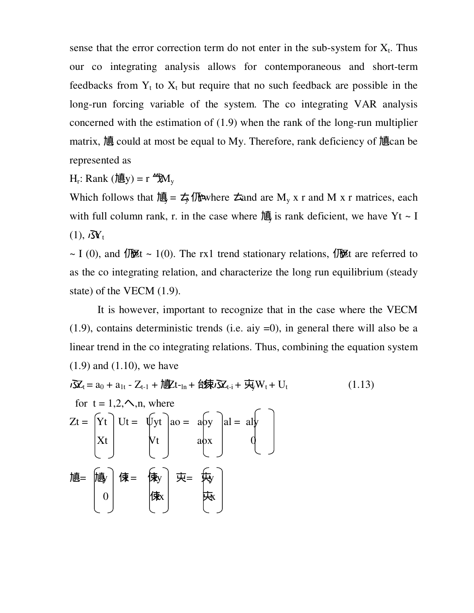sense that the error correction term do not enter in the sub-system for  $X_t$ . Thus our co integrating analysis allows for contemporaneous and short-term feedbacks from  $Y_t$  to  $X_t$  but require that no such feedback are possible in the long-run forcing variable of the system. The co integrating VAR analysis concerned with the estimation of (1.9) when the rank of the long-run multiplier matrix, آیا could at most be equal to My. Therefore, rank deficiency of آیا can be represented as

 $H_r$ : Rank (慎y) = r  $\mathcal{H}_v$ 

Which follows that  $\mathbb{I} = \frac{1}{2} \sqrt{\frac{1}{2}}$  where  $\pm$  and are  $M_y$  x r and M x r matrices, each with full column rank, r. in the case where  $\mathbb{I}$  is rank deficient, we have Yt ~ I  $(1), i\mathbf{N}_t$ 

~ I (0), and  $\sqrt{B}t \sim 1(0)$ . The rx1 trend stationary relations,  $\sqrt{B}t$  are referred to as the co integrating relation, and characterize the long run equilibrium (steady state) of the VECM (1.9).

 It is however, important to recognize that in the case where the VECM  $(1.9)$ , contains deterministic trends (i.e. aiy  $=0$ ), in general there will also be a linear trend in the co integrating relations. Thus, combining the equation system (1.9) and (1.10), we have

$$
\vec{\delta}X_{t} = a_{0} + a_{1t} - Z_{t-1} + i\vec{g}X_{t-1n} + i\vec{g}X_{t-i} + i\vec{g}W_{t} + U_{t}
$$
\nfor t = 1,2,..,n, where\n
$$
Z_{t} = \begin{bmatrix} Y_{t} \\ Y_{t} \\ X_{t} \end{bmatrix} U_{t} = \begin{bmatrix} U_{t} \\ V_{t} \\ V_{t} \end{bmatrix} a_{0} = a_{0}y \begin{bmatrix} a_{0} \\ a_{0} \\ a_{0} \\ 0 \end{bmatrix} a_{0} = a_{0}y \begin{bmatrix} a_{0} \\ a_{0} \\ 0 \end{bmatrix}
$$
\n
$$
i\vec{g} = \begin{bmatrix} \vec{g} \\ \vec{g} \\ \vec{g} \end{bmatrix} \quad (1.13)
$$
\n
$$
i\vec{g} = \begin{bmatrix} \vec{g} \\ \vec{g} \\ \vec{g} \end{bmatrix} \quad (1.14)
$$
\n
$$
i\vec{g} = \begin{bmatrix} \vec{g} \\ \vec{g} \\ \vec{g} \end{bmatrix} \quad (1.15)
$$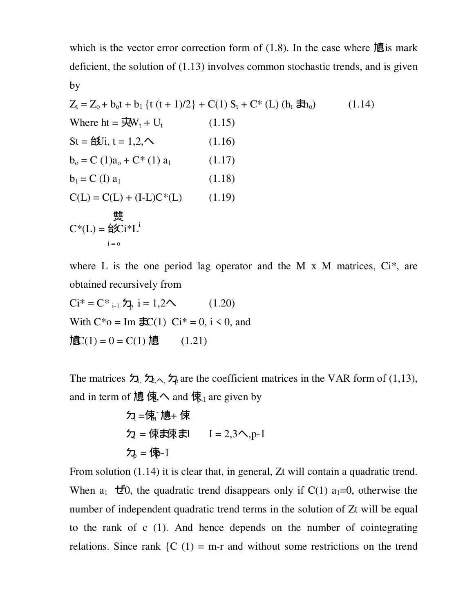which is the vector error correction form of  $(1.8)$ . In the case where  $\mathbb{\bar{B}}$  is mark deficient, the solution of (1.13) involves common stochastic trends, and is given by

$$
Z_{t} = Z_{o} + b_{o}t + b_{1} \{t (t + 1)/2\} + C(1) S_{t} + C^{*} (L) (h_{t} \overline{J}_{o})
$$
 (1.14)  
Where ht =  $\overline{J}_{v}W_{t} + U_{t}$  (1.15)  
St =  $\angle f_{v}U_{i}$ ,  $t = 1, 2, \sim$  (1.16)  
 $b_{o} = C (1)a_{o} + C^{*} (1) a_{1}$  (1.17)  
 $b_{1} = C (I) a_{1}$  (1.18)  
 $C(L) = C(L) + (I-L)C^{*}(L)$  (1.19)  
 $\underset{i=0}{\underbrace{\sharp f}}.$   
 $C^{*}(L) = \angle f_{v}U^{*}(L)$  (1.19)

where L is the one period lag operator and the M  $\times$  M matrices, Ci<sup>\*</sup>, are obtained recursively from

$$
Ci* = C* i-1 5b
$$
 i = 1,2  
\n
$$
i = 1,2
$$
 (1.20)  
\n
$$
i = 0, i < 0, \text{ and}
$$
  
\n
$$
i = 0, i < 0, \text{ and}
$$
  
\n
$$
i = 0, i < 0, \text{ and}
$$
  
\n
$$
i = 0, i < 0, \text{ and}
$$
  
\n
$$
i = 0, i < 0, \text{ and}
$$

The matrices  $\lambda$ ,  $\lambda$ ,  $\lambda$  are the coefficient matrices in the VAR form of (1,13), and in term of  $\overline{\text{18}}$   $\overline{\text{18}}$ ,  $\sim$  and  $\overline{\text{18}}$ <sub>1</sub> are given by

 Φ1 =Г<sup>m</sup> - Π + Г Φi = Гi –Г<sup>i</sup> – 1 I = 2,3…,p-1 Φp = Гp-1

From solution (1.14) it is clear that, in general, Zt will contain a quadratic trend. When  $a_1$   $\vec{E}$ , the quadratic trend disappears only if C(1)  $a_1=0$ , otherwise the number of independent quadratic trend terms in the solution of Zt will be equal to the rank of c (1). And hence depends on the number of cointegrating relations. Since rank  ${C(1) = m-r}$  and without some restrictions on the trend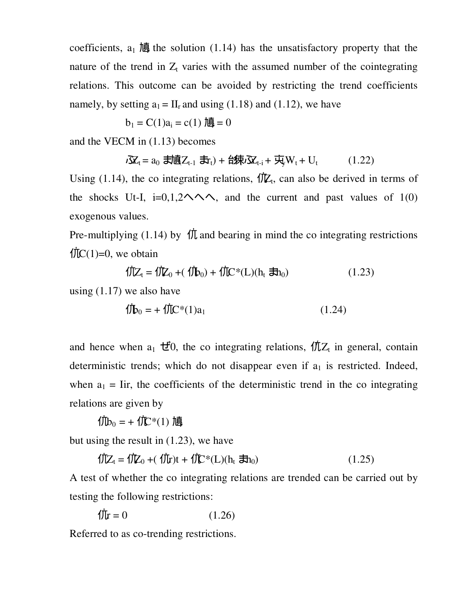coefficients,  $a_1$   $\overline{u}$  the solution (1.14) has the unsatisfactory property that the nature of the trend in  $Z_t$  varies with the assumed number of the cointegrating relations. This outcome can be avoided by restricting the trend coefficients namely, by setting  $a_1 = II_r$  and using (1.18) and (1.12), we have

$$
b_1 = C(1)a_i = c(1) \overline{B} = 0
$$

and the VECM in (1.13) becomes

$$
\delta \mathbf{X}_t = a_0 \; \mathbf{J} \mathbf{H} \mathbf{B}(\mathbf{Z}_{t-1} \; \mathbf{J} \mathbf{r}_t) + \mathbf{A} \mathbf{J} \mathbf{F}(\mathbf{J} \mathbf{X}_{t-1} + \mathbf{J} \mathbf{W}_t + \mathbf{U}_t \tag{1.22}
$$

Using (1.14), the co integrating relations,  $\oint \mathbb{Z}_t$ , can also be derived in terms of the shocks Ut-I, i=0,1,2  $\land \land$ , and the current and past values of 1(0) exogenous values.

Pre-multiplying (1.14) by  $\oint$  *f* and bearing in mind the co integrating restrictions  $\text{f\textsf{IC}}(1)=0$ , we obtain

$$
\text{17}[Z_t = 1]Z_0 + (1]D_0 + 1]C^*(L)(h_t \, \text{1})\tag{1.23}
$$

using (1.17) we also have

$$
\langle \mathbf{\hat{1}\hat{b}}_0 = + \langle \mathbf{\hat{1}\hat{1}} C^*(1) a_1 \rangle \tag{1.24}
$$

and hence when  $a_1 \, \vec{E}$ 0, the co integrating relations,  $\oint \vec{Z}$ <sub>t</sub> in general, contain deterministic trends; which do not disappear even if  $a_1$  is restricted. Indeed, when  $a_1$  = Iir, the coefficients of the deterministic trend in the co integrating relations are given by

 $f(b_0 = + \textit{f}(\mathbb{C}^*(1))$  <sub>順</sub>

but using the result in (1.23), we have

$$
\oint Z_t = \oint Z_0 + (\oint \mathbf{r})t + \oint \mathbf{r}^*(L)(h_t \, \mathbf{F}h_0) \tag{1.25}
$$

A test of whether the co integrating relations are trended can be carried out by testing the following restrictions:

$$
\oint \mathbf{F} = 0 \tag{1.26}
$$

Referred to as co-trending restrictions.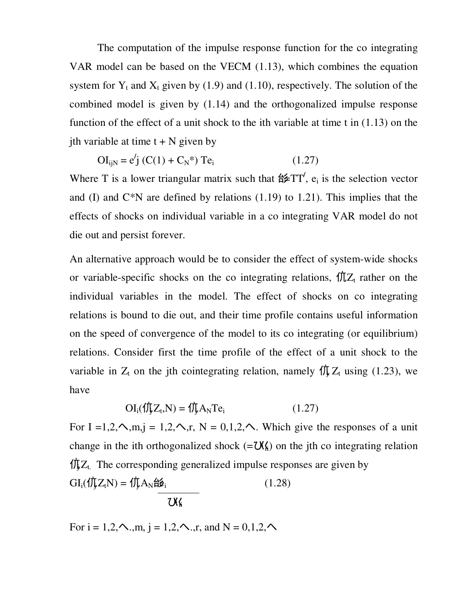The computation of the impulse response function for the co integrating VAR model can be based on the VECM (1.13), which combines the equation system for  $Y_t$  and  $X_t$  given by (1.9) and (1.10), respectively. The solution of the combined model is given by (1.14) and the orthogonalized impulse response function of the effect of a unit shock to the ith variable at time t in (1.13) on the ith variable at time  $t + N$  given by

$$
OI_{ijN} = e'j (C(1) + C_N^*) Te_i
$$
 (1.27)

Where T is a lower triangular matrix such that  $\sharp \sharp TT'$ ,  $e_i$  is the selection vector and (I) and  $C*N$  are defined by relations (1.19) to 1.21). This implies that the effects of shocks on individual variable in a co integrating VAR model do not die out and persist forever.

An alternative approach would be to consider the effect of system-wide shocks or variable-specific shocks on the co integrating relations,  $f\bar{L}Z_t$  rather on the individual variables in the model. The effect of shocks on co integrating relations is bound to die out, and their time profile contains useful information on the speed of convergence of the model to its co integrating (or equilibrium) relations. Consider first the time profile of the effect of a unit shock to the variable in  $Z_t$  on the jth cointegrating relation, namely  $\oint \int Z_t$  using (1.23), we have

$$
OI_i(\iint_{\mathbf{J}} Z_{\mathbf{t}}, N) = \iint_{\mathbf{J}} A_N T e_i
$$
 (1.27)

For I =1,2, $\sim$ ,m,j = 1,2, $\sim$ ,r, N = 0,1,2, $\sim$ . Which give the responses of a unit change in the ith orthogonalized shock  $(=\mathbf{X}_k)$  on the jth co integrating relation  $\oint \int Z_t$ . The corresponding generalized impulse responses are given by  $GI_i(\iint\!\!\!\int Z_tN) = \iint\!\!\!\int AA_N$ 白 $\sharp\psi_i$ (1.28)

$$
\mathcal{U}_h
$$

For  $i = 1, 2, \sim, m$ ,  $j = 1, 2, \sim, r$ , and  $N = 0, 1, 2, \sim$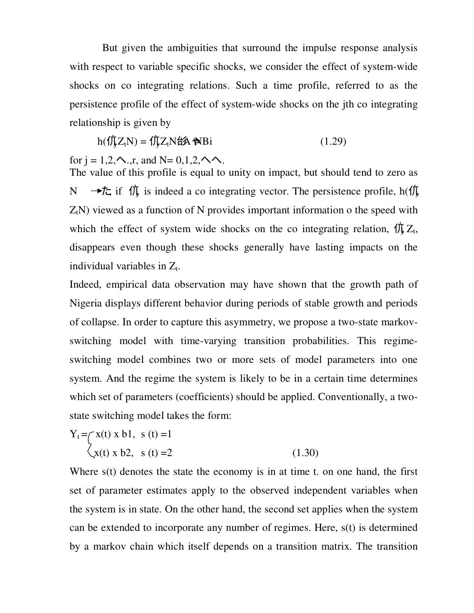But given the ambiguities that surround the impulse response analysis with respect to variable specific shocks, we consider the effect of system-wide shocks on co integrating relations. Such a time profile, referred to as the persistence profile of the effect of system-wide shocks on the jth co integrating relationship is given by

$$
h(\hat{\Pi})Z_tN) = \hat{\Pi}Z_tN\hat{\Pi}\hat{\mathbf{A}}\hat{\Pi}N\hat{\Pi}
$$
 (1.29)

for  $j = 1, 2, \sim$ ,  $r$ , and  $N = 0, 1, 2, \sim \sim$ .

The value of this profile is equal to unity on impact, but should tend to zero as N → <del>t</del><sub>c</sub> if  $\langle \nvert \hat{\psi} \rangle$  is indeed a co integrating vector. The persistence profile, h( $\langle \nvert \hat{\psi} \rangle$  $Z<sub>t</sub>N$ ) viewed as a function of N provides important information o the speed with which the effect of system wide shocks on the co integrating relation,  $\oint \int Z_t$ , disappears even though these shocks generally have lasting impacts on the individual variables in  $Z_t$ .

Indeed, empirical data observation may have shown that the growth path of Nigeria displays different behavior during periods of stable growth and periods of collapse. In order to capture this asymmetry, we propose a two-state markovswitching model with time-varying transition probabilities. This regimeswitching model combines two or more sets of model parameters into one system. And the regime the system is likely to be in a certain time determines which set of parameters (coefficients) should be applied. Conventionally, a twostate switching model takes the form:

$$
Y_t = \begin{cases} x(t) \times b1, & s(t) = 1 \\ x(t) \times b2, & s(t) = 2 \end{cases}
$$
 (1.30)

Where s(t) denotes the state the economy is in at time t. on one hand, the first set of parameter estimates apply to the observed independent variables when the system is in state. On the other hand, the second set applies when the system can be extended to incorporate any number of regimes. Here, s(t) is determined by a markov chain which itself depends on a transition matrix. The transition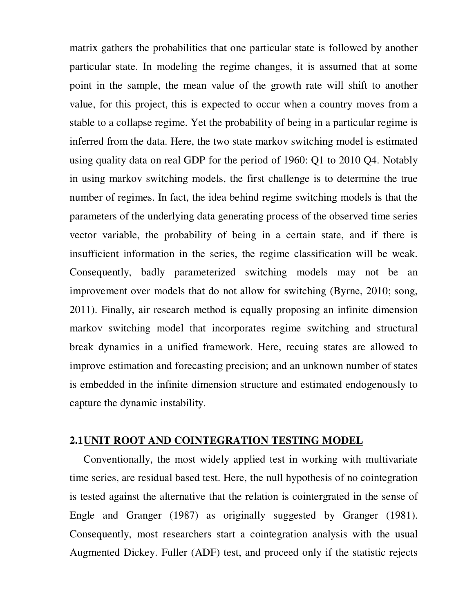matrix gathers the probabilities that one particular state is followed by another particular state. In modeling the regime changes, it is assumed that at some point in the sample, the mean value of the growth rate will shift to another value, for this project, this is expected to occur when a country moves from a stable to a collapse regime. Yet the probability of being in a particular regime is inferred from the data. Here, the two state markov switching model is estimated using quality data on real GDP for the period of 1960: Q1 to 2010 Q4. Notably in using markov switching models, the first challenge is to determine the true number of regimes. In fact, the idea behind regime switching models is that the parameters of the underlying data generating process of the observed time series vector variable, the probability of being in a certain state, and if there is insufficient information in the series, the regime classification will be weak. Consequently, badly parameterized switching models may not be an improvement over models that do not allow for switching (Byrne, 2010; song, 2011). Finally, air research method is equally proposing an infinite dimension markov switching model that incorporates regime switching and structural break dynamics in a unified framework. Here, recuing states are allowed to improve estimation and forecasting precision; and an unknown number of states is embedded in the infinite dimension structure and estimated endogenously to capture the dynamic instability.

### **2.1UNIT ROOT AND COINTEGRATION TESTING MODEL**

 Conventionally, the most widely applied test in working with multivariate time series, are residual based test. Here, the null hypothesis of no cointegration is tested against the alternative that the relation is cointergrated in the sense of Engle and Granger (1987) as originally suggested by Granger (1981). Consequently, most researchers start a cointegration analysis with the usual Augmented Dickey. Fuller (ADF) test, and proceed only if the statistic rejects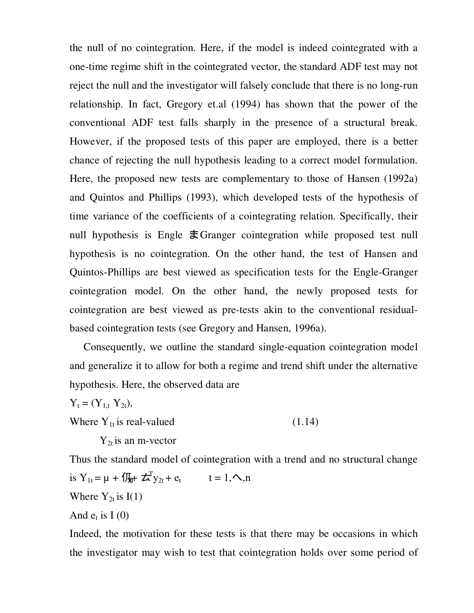the null of no cointegration. Here, if the model is indeed cointegrated with a one-time regime shift in the cointegrated vector, the standard ADF test may not reject the null and the investigator will falsely conclude that there is no long-run relationship. In fact, Gregory et.al (1994) has shown that the power of the conventional ADF test falls sharply in the presence of a structural break. However, if the proposed tests of this paper are employed, there is a better chance of rejecting the null hypothesis leading to a correct model formulation. Here, the proposed new tests are complementary to those of Hansen (1992a) and Quintos and Phillips (1993), which developed tests of the hypothesis of time variance of the coefficients of a cointegrating relation. Specifically, their null hypothesis is Engle  $\pm$ Granger cointegration while proposed test null hypothesis is no cointegration. On the other hand, the test of Hansen and Quintos-Phillips are best viewed as specification tests for the Engle-Granger cointegration model. On the other hand, the newly proposed tests for cointegration are best viewed as pre-tests akin to the conventional residualbased cointegration tests (see Gregory and Hansen, 1996a).

 Consequently, we outline the standard single-equation cointegration model and generalize it to allow for both a regime and trend shift under the alternative hypothesis. Here, the observed data are

 $Y_t = (Y_{1,t} Y_{2t}),$ Where  $Y_{1t}$  is real-valued (1.14)

 $Y_{2t}$  is an m-vector

Thus the standard model of cointegration with a trend and no structural change is  $Y_{1t} = \mu + \sqrt{\mu} + \zeta_{1}^{T}y_{2t} + e_t$  $t = 1, \sim, n$ Where  $Y_{2t}$  is  $I(1)$ And  $e_t$  is I (0)

Indeed, the motivation for these tests is that there may be occasions in which the investigator may wish to test that cointegration holds over some period of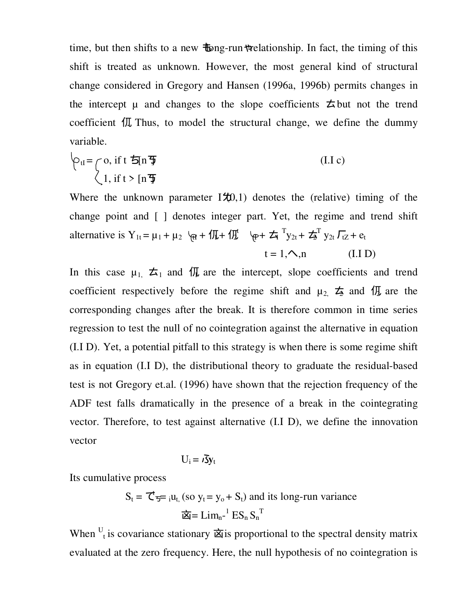time, but then shifts to a new  $\pm$  ong-run relationship. In fact, the timing of this shift is treated as unknown. However, the most general kind of structural change considered in Gregory and Hansen (1996a, 1996b) permits changes in the intercept  $\mu$  and changes to the slope coefficients  $\pm$  but not the trend coefficient  $\int \pi$  Thus, to model the structural change, we define the dummy variable.

$$
\varphi_{tl} = \int_{1}^{\infty} \text{o, if } t \leq \ln \frac{\pi}{2} \tag{I.I.c}
$$
\n
$$
\left\langle 1, \text{ if } t > \ln \frac{\pi}{2} \right\rangle
$$

Where the unknown parameter  $I\sharp(0,1)$  denotes the (relative) timing of the change point and [ ] denotes integer part. Yet, the regime and trend shift alternative is  $Y_{1t} = \mu_1 + \mu_2$   $\varphi_t + \sqrt{\mu} + \sqrt{\mu}$   $\varphi_t + \frac{\pi}{2} Y_{2t} + \frac{\pi}{2} Y_{2t} \sqrt{\pi} + e_t$ 

$$
t = 1, \sim n \tag{I.1 D}
$$

In this case  $\mu_1$ ,  $\pm_1$  and  $\sqrt{n}$  are the intercept, slope coefficients and trend coefficient respectively before the regime shift and  $\mu_2$ ,  $\frac{1}{2}$  and  $\frac{1}{2}$  are the corresponding changes after the break. It is therefore common in time series regression to test the null of no cointegration against the alternative in equation (I.I D). Yet, a potential pitfall to this strategy is when there is some regime shift as in equation (I.I D), the distributional theory to graduate the residual-based test is not Gregory et.al. (1996) have shown that the rejection frequency of the ADF test falls dramatically in the presence of a break in the cointegrating vector. Therefore, to test against alternative (I.I D), we define the innovation vector

$$
U_i = \iota \mathbf{\bar{S}} \mathbf{y}_t
$$

Its cumulative process

 $S_t = \mathcal{C}_{\overline{s}} = \mathfrak{u}_{t}$ , (so  $y_t = y_0 + S_t$ ) and its long-run variance  $\overline{\mathbf{z}} = \mathbf{L} \mathbf{i} \mathbf{m}_{n}^{-1} \mathbf{E} \mathbf{S}_{n} \mathbf{S}_{n}^{T}$ 

When  $U_t$  is covariance stationary  $\dot{\mathbf{\Sigma}}$  is proportional to the spectral density matrix evaluated at the zero frequency. Here, the null hypothesis of no cointegration is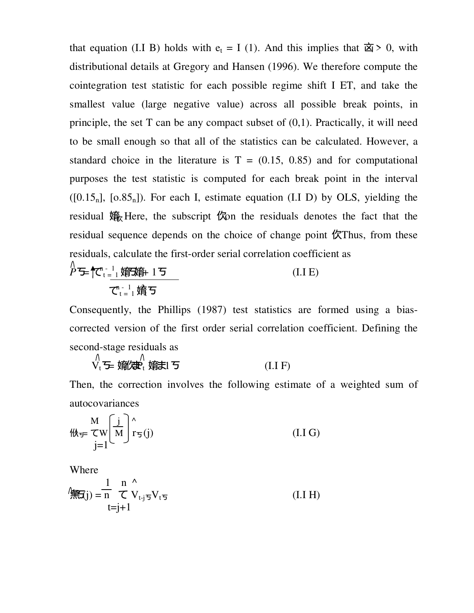that equation (I.I B) holds with  $e_t = I(1)$ . And this implies that  $\dot{\mathbb{Z}} > 0$ , with distributional details at Gregory and Hansen (1996). We therefore compute the cointegration test statistic for each possible regime shift I ET, and take the smallest value (large negative value) across all possible break points, in principle, the set  $T$  can be any compact subset of  $(0,1)$ . Practically, it will need to be small enough so that all of the statistics can be calculated. However, a standard choice in the literature is  $T = (0.15, 0.85)$  and for computational purposes the test statistic is computed for each break point in the interval  $([0.15_n], [0.85_n])$ . For each I, estimate equation (I.I D) by OLS, yielding the residual 嬆 Here, the subscript 侬 the residuals denotes the fact that the residual sequence depends on the choice of change point  $\oint \mathcal{K}$ Thus, from these residuals, calculate the first-order serial correlation coefficient as

$$
\stackrel{\wedge}{P} = \uparrow \stackrel{\wedge}{C_{t}}_{t=1}^{n-1} \underbrace{\stackrel{\wedge}{\text{argmin}} 15}_{\overline{C}_{t=1}^{n-1} \stackrel{\wedge}{\text{deg}}} \underbrace{15}_{\text{sum}} \tag{I.I E}
$$

Consequently, the Phillips (1987) test statistics are formed using a biascorrected version of the first order serial correlation coefficient. Defining the second-stage residuals as

$$
\bigvee_{t=1}^{N} \sum_{i=1}^{N} \mathbf{F}_{t} \mathbf{F}_{t} \mathbf{F}_{t} = \mathbf{F} \tag{I.1 F}
$$

Then, the correction involves the following estimate of a weighted sum of autocovariances

$$
\mathcal{W}_{\mathcal{F}} \subset \mathbb{W} \left[ \frac{j}{M} \right]_{T_{\mathcal{F}}(j)}^{\wedge} \tag{I.1 G}
$$

Where

$$
\oint_{\mathbf{H}} \mathbf{H}(\mathbf{j}) = \frac{1}{n} \int_{t=j+1}^{n} \mathbf{V}_{t+j} \nabla_{t} \mathbf{V}_{t}(\mathbf{I}, \mathbf{I}, \mathbf{H})
$$
\n(II, H)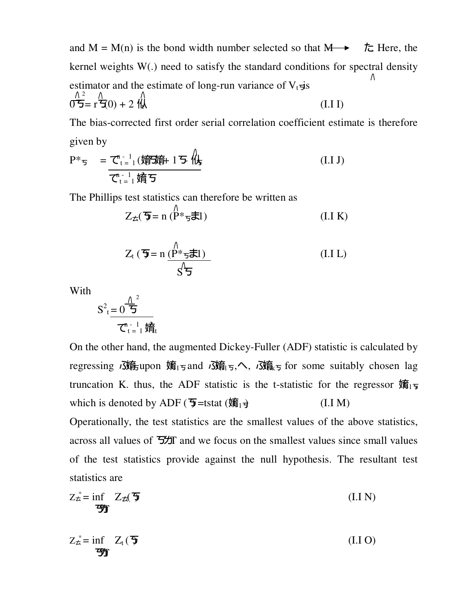and M = M(n) is the bond width number selected so that  $M \rightarrow \pm \infty$ . Here, the kernel weights W(.) need to satisfy the standard conditions for spectral density estimator and the estimate of long-run variance of  $V_t \neq s$  $0$ <del>5</del> = r <del>7</del>(0) + 2  $\mathcal{H}$  (I.I I) 2

The bias-corrected first order serial correlation coefficient estimate is therefore given by

$$
P^* \tau = \frac{\tau_{t-1}^n(\text{m/s}) + 15 \sqrt{\text{m/s}}}{\tau_{t-1}^n \text{m/s}} \tag{I.1 J}
$$

The Phillips test statistics can therefore be written as

$$
Z_{\pm}(\mathbf{\overline{y}}) = n\left(\mathbf{P}^* \mathbf{\overline{y}} \mathbf{\overline{x}}\mathbf{I}\right) \tag{I. I K}
$$

$$
Z_{t} \left( \overline{\mathbf{y}} = n \frac{\left( P^* \mathbf{z}}{S} \mathbf{z} \right) - \mathbf{z} \right)
$$
 (I.I L)

With

$$
S^{2} = \frac{0}{\sum_{t=1}^{n} \hat{F}_{t}}^{2}
$$

On the other hand, the augmented Dickey-Fuller (ADF) statistic is calculated by regressing *i*3n the mon 嫡<sub>15</sub> and *i*3n the ist, ∧, *i*3n the some suitably chosen lag truncation K. thus, the ADF statistic is the t-statistic for the regressor  $\mathbf{\hat{m}}_1$ which is denoted by ADF ( $\overline{\mathbf{5}}$ =tstat ( $\overline{\mathbf{4}}$ <sub>1</sub>+ (I.I M)

Operationally, the test statistics are the smallest values of the above statistics, across all values of  $\frac{2}{3}$  and we focus on the smallest values since small values of the test statistics provide against the null hypothesis. The resultant test statistics are

$$
Z_{\vec{\mathbf{\Sigma}}}^* = \inf_{\mathbf{\mathbf{y}} \in \mathbb{R}} Z_{\vec{\mathbf{\Sigma}}}(\vec{\mathbf{y}})
$$
(I.I N)

$$
Z_{\dot{\mathcal{L}}}^* = \inf_{\mathbf{y}} Z_t \left( \mathbf{\bar{y}} \right) \tag{I.I O}
$$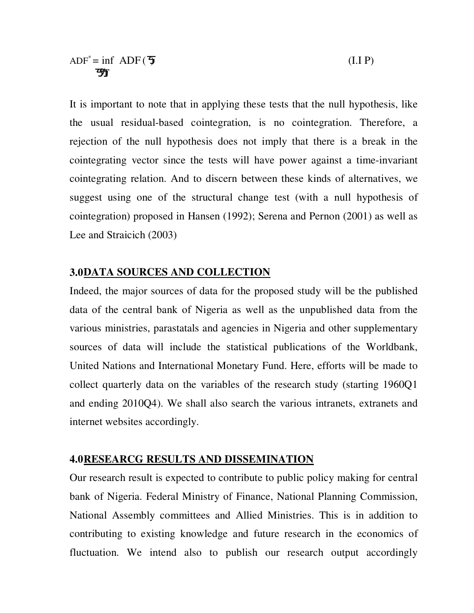It is important to note that in applying these tests that the null hypothesis, like the usual residual-based cointegration, is no cointegration. Therefore, a rejection of the null hypothesis does not imply that there is a break in the cointegrating vector since the tests will have power against a time-invariant cointegrating relation. And to discern between these kinds of alternatives, we suggest using one of the structural change test (with a null hypothesis of cointegration) proposed in Hansen (1992); Serena and Pernon (2001) as well as Lee and Straicich (2003)

### **3.0DATA SOURCES AND COLLECTION**

Indeed, the major sources of data for the proposed study will be the published data of the central bank of Nigeria as well as the unpublished data from the various ministries, parastatals and agencies in Nigeria and other supplementary sources of data will include the statistical publications of the Worldbank, United Nations and International Monetary Fund. Here, efforts will be made to collect quarterly data on the variables of the research study (starting 1960Q1 and ending 2010Q4). We shall also search the various intranets, extranets and internet websites accordingly.

### **4.0RESEARCG RESULTS AND DISSEMINATION**

Our research result is expected to contribute to public policy making for central bank of Nigeria. Federal Ministry of Finance, National Planning Commission, National Assembly committees and Allied Ministries. This is in addition to contributing to existing knowledge and future research in the economics of fluctuation. We intend also to publish our research output accordingly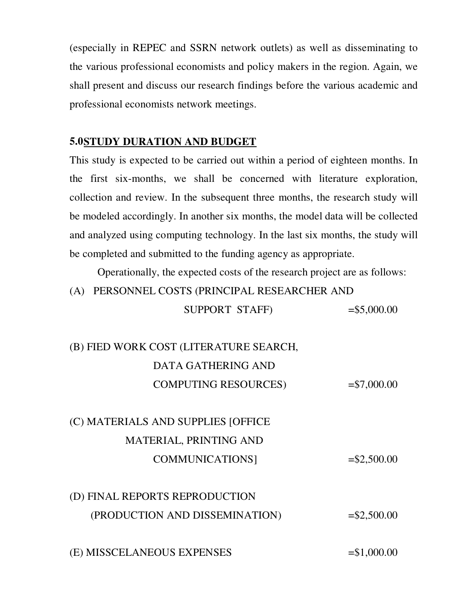(especially in REPEC and SSRN network outlets) as well as disseminating to the various professional economists and policy makers in the region. Again, we shall present and discuss our research findings before the various academic and professional economists network meetings.

### **5.0STUDY DURATION AND BUDGET**

This study is expected to be carried out within a period of eighteen months. In the first six-months, we shall be concerned with literature exploration, collection and review. In the subsequent three months, the research study will be modeled accordingly. In another six months, the model data will be collected and analyzed using computing technology. In the last six months, the study will be completed and submitted to the funding agency as appropriate.

Operationally, the expected costs of the research project are as follows:

 $SUPPORT STAFF$   $= $5,000.00$ 

(A) PERSONNEL COSTS (PRINCIPAL RESEARCHER AND

| (B) FIED WORK COST (LITERATURE SEARCH, |                |
|----------------------------------------|----------------|
| DATA GATHERING AND                     |                |
| <b>COMPUTING RESOURCES)</b>            | $= $7,000.00$  |
|                                        |                |
| (C) MATERIALS AND SUPPLIES [OFFICE     |                |
| <b>MATERIAL, PRINTING AND</b>          |                |
| <b>COMMUNICATIONS</b>                  | $=$ \$2,500.00 |
|                                        |                |
| (D) FINAL REPORTS REPRODUCTION         |                |
|                                        |                |

 $(E)$  MISSCELANEOUS EXPENSES  $= $1,000.00$ 

 $(\text{PRODUCTION AND DISSEMINATION})$  =\\$2,500.00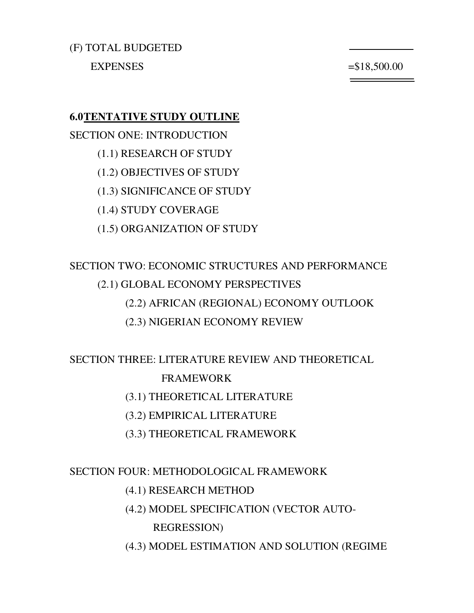(F) TOTAL BUDGETED  $EXPENSES$   $= $18,500.00$ 

### **6.0TENTATIVE STUDY OUTLINE**

SECTION ONE: INTRODUCTION (1.1) RESEARCH OF STUDY (1.2) OBJECTIVES OF STUDY (1.3) SIGNIFICANCE OF STUDY (1.4) STUDY COVERAGE (1.5) ORGANIZATION OF STUDY

## SECTION TWO: ECONOMIC STRUCTURES AND PERFORMANCE (2.1) GLOBAL ECONOMY PERSPECTIVES (2.2) AFRICAN (REGIONAL) ECONOMY OUTLOOK (2.3) NIGERIAN ECONOMY REVIEW

SECTION THREE: LITERATURE REVIEW AND THEORETICAL

### FRAMEWORK

- (3.1) THEORETICAL LITERATURE
- (3.2) EMPIRICAL LITERATURE
- (3.3) THEORETICAL FRAMEWORK

### SECTION FOUR: METHODOLOGICAL FRAMEWORK

#### (4.1) RESEARCH METHOD

(4.2) MODEL SPECIFICATION (VECTOR AUTO-

### REGRESSION)

(4.3) MODEL ESTIMATION AND SOLUTION (REGIME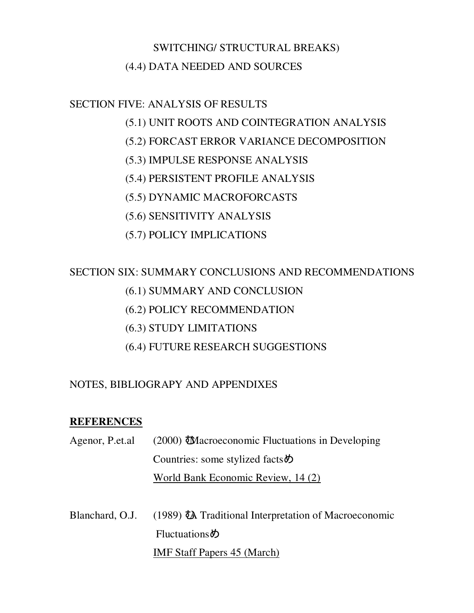## SWITCHING/ STRUCTURAL BREAKS) (4.4) DATA NEEDED AND SOURCES

### SECTION FIVE: ANALYSIS OF RESULTS

- (5.1) UNIT ROOTS AND COINTEGRATION ANALYSIS
- (5.2) FORCAST ERROR VARIANCE DECOMPOSITION
- (5.3) IMPULSE RESPONSE ANALYSIS
- (5.4) PERSISTENT PROFILE ANALYSIS
- (5.5) DYNAMIC MACROFORCASTS
- (5.6) SENSITIVITY ANALYSIS
- (5.7) POLICY IMPLICATIONS

## SECTION SIX: SUMMARY CONCLUSIONS AND RECOMMENDATIONS

- (6.1) SUMMARY AND CONCLUSION
- (6.2) POLICY RECOMMENDATION
- (6.3) STUDY LIMITATIONS
- (6.4) FUTURE RESEARCH SUGGESTIONS

## NOTES, BIBLIOGRAPY AND APPENDIXES

## **REFERENCES**

- Agenor, P.et.al (2000) **Macroeconomic Fluctuations in Developing** Countries: some stylized facts $\phi$ World Bank Economic Review, 14 (2)
- Blanchard, O.J. (1989)  $\bar{A}$  Traditional Interpretation of Macroeconomic  $Fluctuations$ IMF Staff Papers 45 (March)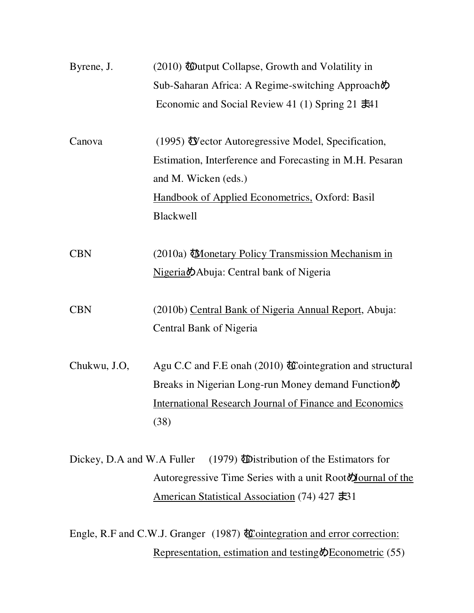| Byrene, J.   | (2010) Woutput Collapse, Growth and Volatility in                             |
|--------------|-------------------------------------------------------------------------------|
|              | Sub-Saharan Africa: A Regime-switching Approachめ                              |
|              | Economic and Social Review 41 (1) Spring 21 $\pm 41$                          |
| Canova       | $(1995)$ Wector Autoregressive Model, Specification,                          |
|              | Estimation, Interference and Forecasting in M.H. Pesaran                      |
|              | and M. Wicken (eds.)                                                          |
|              | <b>Handbook of Applied Econometrics, Oxford: Basil</b>                        |
|              | <b>Blackwell</b>                                                              |
| <b>CBN</b>   | (2010a) <i>Monetary Policy Transmission Mechanism in</i>                      |
|              | Nigeria Mabuja: Central bank of Nigeria                                       |
| <b>CBN</b>   | (2010b) Central Bank of Nigeria Annual Report, Abuja:                         |
|              | Central Bank of Nigeria                                                       |
| Chukwu, J.O, | Agu C.C and F.E onah (2010) $\mathbf{\&}$ cointegration and structural        |
|              | Breaks in Nigerian Long-run Money demand Function $\phi$                      |
|              | <b>International Research Journal of Finance and Economics</b>                |
|              | (38)                                                                          |
|              | Dickey, D.A and W.A Fuller (1979) <b>i</b> Distribution of the Estimators for |
|              | Autoregressive Time Series with a unit Root <b>N</b> ournal of the            |
|              | American Statistical Association (74) 427 $\pm$ 31                            |

Engle, R.F and C.W.J. Granger (1987) **Cointegration and error correction:** Representation, estimation and testing  $\oint$  Econometric (55)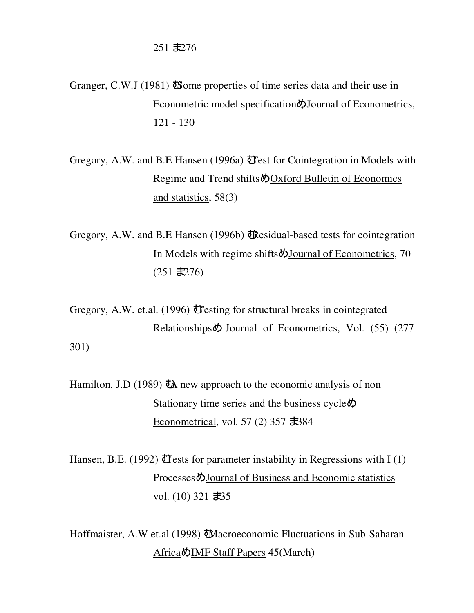$251$   $\pm 276$ 

- Granger, C.W.J (1981)  $\delta$  ome properties of time series data and their use in Econometric model specification  $\bigcirc$  Journal of Econometrics, 121 - 130
- Gregory, A.W. and B.E Hansen (1996a) Test for Cointegration in Models with Regime and Trend shifts  $\bigcirc$ Oxford Bulletin of Economics and statistics, 58(3)
- Gregory, A.W. and B.E Hansen (1996b) **t**Residual-based tests for cointegration In Models with regime shifts  $\oint$ Journal of Econometrics, 70  $(251 \pm 276)$

Gregory, A.W. et.al. (1996) Testing for structural breaks in cointegrated Relationships $\ddot{\phi}$  Journal of Econometrics, Vol. (55) (277-301)

Hamilton, J.D (1989)  $\bar{a}$  new approach to the economic analysis of non Stationary time series and the business cycle $\phi$ Econometrical, vol. 57 (2) 357  $\pm$ 384

Hansen, B.E. (1992) **T** ests for parameter instability in Regressions with I (1) Processes  $\bigcirc$ Journal of Business and Economic statistics vol.  $(10)$  321  $\pm 35$ 

Hoffmaister, A.W et.al (1998) **Macroeconomic Fluctuations in Sub-Saharan** Africa $\oint$ IMF Staff Papers 45(March)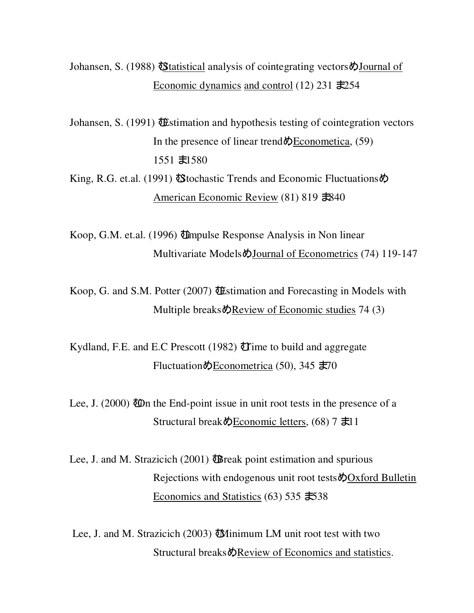Johansen, S. (1988) **Statistical analysis of cointegrating vectors**  $\phi$  Journal of Economic dynamics and control (12) 231  $\pm 254$ 

Johansen, S. (1991)  $\mathbf{\ddot{\theta}}$ stimation and hypothesis testing of cointegration vectors In the presence of linear trend  $\Phi$  Econometica, (59)  $1551 \pm 1580$ 

King, R.G. et.al. (1991)  $\delta$ Stochastic Trends and Economic Fluctuations  $\delta$ American Economic Review (81) 819  $\text{\textsterling}840$ 

Koop, G.M. et.al. (1996) Umpulse Response Analysis in Non linear Multivariate Models $\phi$ Journal of Econometrics (74) 119-147

Koop, G. and S.M. Potter (2007)  $\bigoplus$  Stimation and Forecasting in Models with Multiple breaks $\Phi$ Review of Economic studies 74 (3)

Kydland, F.E. and E.C Prescott (1982)  $\mathbf{\hat{U}}$  ime to build and aggregate Fluctuation $\phi$ Econometrica (50), 345  $\pm$ 70

Lee, J. (2000)  $\ddot{\text{CD}}$  the End-point issue in unit root tests in the presence of a Structural break $\triangle$ Economic letters, (68) 7  $\pm 11$ 

Lee, J. and M. Strazicich (2001)  $\mathbf{\ddot{\theta}}$  reak point estimation and spurious Rejections with endogenous unit root tests  $\oint$ Oxford Bulletin Economics and Statistics  $(63)$  535  $\pm$ 538

Lee, J. and M. Strazicich (2003) **W**inimum LM unit root test with two Structural breaks  $\Diamond$ Review of Economics and statistics.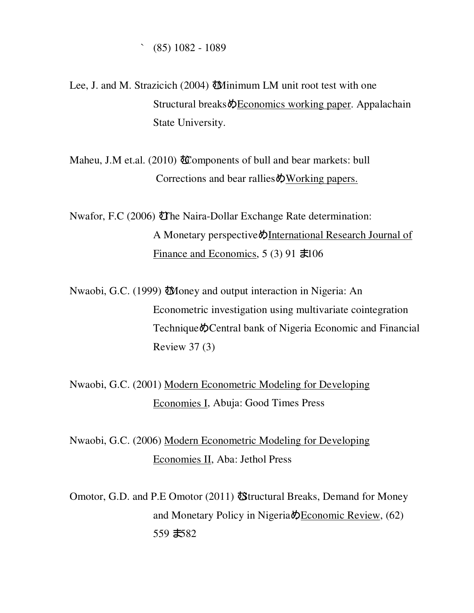$(85)$  1082 - 1089

Lee, J. and M. Strazicich (2004) **W**inimum LM unit root test with one Structural breaks  $\Diamond$  Economics working paper. Appalachain State University.

Maheu, J.M et.al. (2010) **t**Components of bull and bear markets: bull Corrections and bear rallies $\phi$ Working papers.

Nwafor, F.C (2006) **The Naira-Dollar Exchange Rate determination:** A Monetary perspective  $\oint$ International Research Journal of Finance and Economics,  $5(3)$  91  $\pm 106$ 

Nwaobi, G.C. (1999) "Money and output interaction in Nigeria: An Econometric investigation using multivariate cointegration Technique  $\lozenge$ Central bank of Nigeria Economic and Financial Review 37 (3)

Nwaobi, G.C. (2001) Modern Econometric Modeling for Developing Economies I, Abuja: Good Times Press

Nwaobi, G.C. (2006) Modern Econometric Modeling for Developing Economies II, Aba: Jethol Press

Omotor, G.D. and P.E Omotor (2011) **S**tructural Breaks, Demand for Money and Monetary Policy in Nigeria $\Phi$ Economic Review, (62)  $559 \pm 82$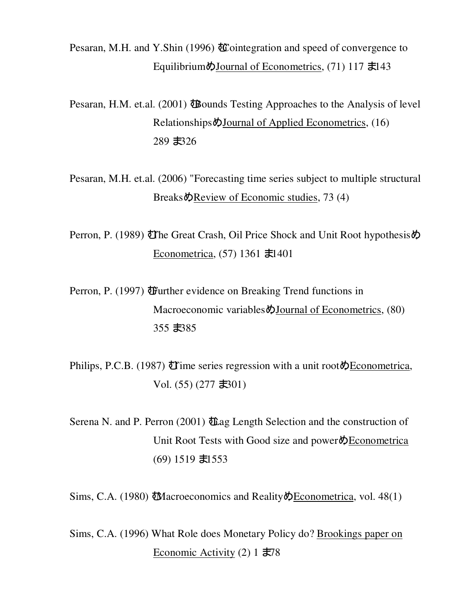Pesaran, M.H. and Y.Shin (1996)  $\mathbf{\&}$  cointegration and speed of convergence to Equilibrium $\phi$ Journal of Econometrics, (71) 117  $\pm$ 143

Pesaran, H.M. et.al. (2001)  $\ddot{\mathbf{B}}$  bounds Testing Approaches to the Analysis of level Relationships $\phi$ Journal of Applied Econometrics, (16) 289 お26

Pesaran, M.H. et.al. (2006) "Forecasting time series subject to multiple structural Breaks $\phi$ Review of Economic studies, 73 (4)

Perron, P. (1989) The Great Crash, Oil Price Shock and Unit Root hypothesis $\phi$ Econometrica,  $(57)$  1361  $\pm 1401$ 

Perron, P. (1997) **f**urther evidence on Breaking Trend functions in Macroeconomic variables  $\phi$ Journal of Econometrics, (80) 355  $\pm$ 385

Philips, P.C.B. (1987)  $\ddot{\mathbf{U}}$  ime series regression with a unit root  $\phi$  Econometrica, Vol.  $(55)$   $(277 \pm 301)$ 

Serena N. and P. Perron (2001)  $\Phi$  Length Selection and the construction of Unit Root Tests with Good size and power $\bigcirc$ Econometrica  $(69)$  1519  $\pm$ 1553

Sims, C.A. (1980) **W**hacroeconomics and Reality **DE**conometrica, vol. 48(1)

Sims, C.A. (1996) What Role does Monetary Policy do? Brookings paper on Economic Activity  $(2)$  1  $\pm 78$